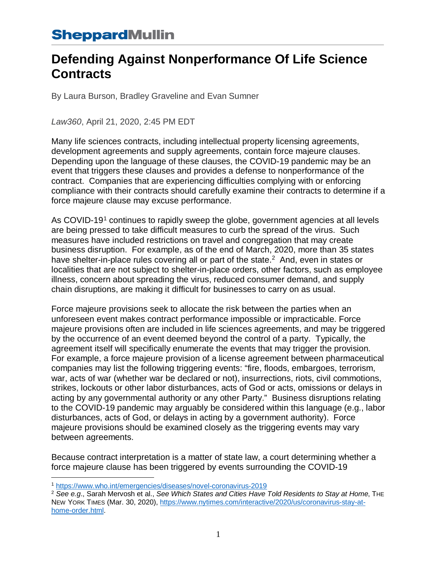### **Defending Against Nonperformance Of Life Science Contracts**

By Laura Burson, Bradley Graveline and Evan Sumner

*Law360*, April 21, 2020, 2:45 PM EDT

Many life sciences contracts, including intellectual property licensing agreements, development agreements and supply agreements, contain force majeure clauses. Depending upon the language of these clauses, the COVID-19 pandemic may be an event that triggers these clauses and provides a defense to nonperformance of the contract. Companies that are experiencing difficulties complying with or enforcing compliance with their contracts should carefully examine their contracts to determine if a force majeure clause may excuse performance.

As COVID-[1](#page-0-0)9<sup>1</sup> continues to rapidly sweep the globe, government agencies at all levels are being pressed to take difficult measures to curb the spread of the virus. Such measures have included restrictions on travel and congregation that may create business disruption. For example, as of the end of March, 2020, more than 35 states have shelter-in-place rules covering all or part of the state.<sup>2</sup> And, even in states or localities that are not subject to shelter-in-place orders, other factors, such as employee illness, concern about spreading the virus, reduced consumer demand, and supply chain disruptions, are making it difficult for businesses to carry on as usual.

Force majeure provisions seek to allocate the risk between the parties when an unforeseen event makes contract performance impossible or impracticable. Force majeure provisions often are included in life sciences agreements, and may be triggered by the occurrence of an event deemed beyond the control of a party. Typically, the agreement itself will specifically enumerate the events that may trigger the provision. For example, a force majeure provision of a license agreement between pharmaceutical companies may list the following triggering events: "fire, floods, embargoes, terrorism, war, acts of war (whether war be declared or not), insurrections, riots, civil commotions, strikes, lockouts or other labor disturbances, acts of God or acts, omissions or delays in acting by any governmental authority or any other Party." Business disruptions relating to the COVID-19 pandemic may arguably be considered within this language (e.g., labor disturbances, acts of God, or delays in acting by a government authority). Force majeure provisions should be examined closely as the triggering events may vary between agreements.

Because contract interpretation is a matter of state law, a court determining whether a force majeure clause has been triggered by events surrounding the COVID-19

 $\overline{a}$ <sup>1</sup> <https://www.who.int/emergencies/diseases/novel-coronavirus-2019>

<span id="page-0-1"></span><span id="page-0-0"></span><sup>2</sup> *See e.g*., Sarah Mervosh et al., *See Which States and Cities Have Told Residents to Stay at Home*, THE NEW YORK TIMES (Mar. 30, 2020), [https://www.nytimes.com/interactive/2020/us/coronavirus-stay-at](https://www.nytimes.com/interactive/2020/us/coronavirus-stay-at-home-order.html)[home-order.html.](https://www.nytimes.com/interactive/2020/us/coronavirus-stay-at-home-order.html)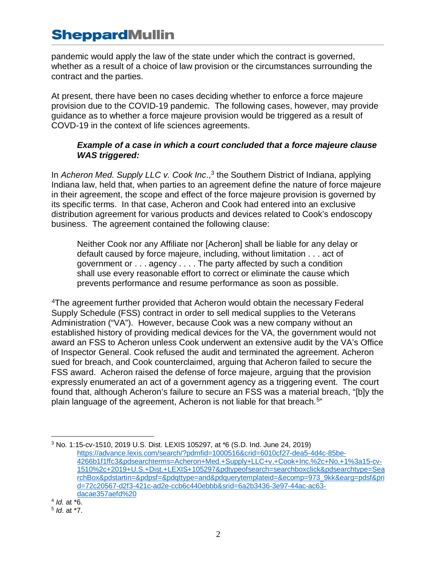pandemic would apply the law of the state under which the contract is governed, whether as a result of a choice of law provision or the circumstances surrounding the contract and the parties.

At present, there have been no cases deciding whether to enforce a force majeure provision due to the COVID-19 pandemic. The following cases, however, may provide guidance as to whether a force majeure provision would be triggered as a result of COVD-19 in the context of life sciences agreements.

#### *Example of a case in which a court concluded that a force majeure clause WAS triggered:*

In *Acheron Med. Supply LLC v. Cook Inc.*,<sup>[3](#page-1-0)</sup> the Southern District of Indiana, applying Indiana law, held that, when parties to an agreement define the nature of force majeure in their agreement, the scope and effect of the force majeure provision is governed by its specific terms. In that case, Acheron and Cook had entered into an exclusive distribution agreement for various products and devices related to Cook's endoscopy business. The agreement contained the following clause:

Neither Cook nor any Affiliate nor [Acheron] shall be liable for any delay or default caused by force majeure, including, without limitation . . . act of government or . . . agency . . . . The party affected by such a condition shall use every reasonable effort to correct or eliminate the cause which prevents performance and resume performance as soon as possible.

[4T](#page-1-1)he agreement further provided that Acheron would obtain the necessary Federal Supply Schedule (FSS) contract in order to sell medical supplies to the Veterans Administration ("VA"). However, because Cook was a new company without an established history of providing medical devices for the VA, the government would not award an FSS to Acheron unless Cook underwent an extensive audit by the VA's Office of Inspector General. Cook refused the audit and terminated the agreement. Acheron sued for breach, and Cook counterclaimed, arguing that Acheron failed to secure the FSS award. Acheron raised the defense of force majeure, arguing that the provision expressly enumerated an act of a government agency as a triggering event. The court found that, although Acheron's failure to secure an FSS was a material breach, "[b]y the plain language of the agreement, Acheron is not liable for that breach.<sup>[5"](#page-1-2)</sup>

<span id="page-1-1"></span><sup>4</sup> *Id.* at \*6.

 $\overline{a}$ 

<span id="page-1-0"></span><sup>3</sup> No. 1:15-cv-1510, 2019 U.S. Dist. LEXIS 105297, at \*6 (S.D. Ind. June 24, 2019) [https://advance.lexis.com/search/?pdmfid=1000516&crid=6010cf27-dea5-4d4c-85be-](https://advance.lexis.com/search/?pdmfid=1000516&crid=6010cf27-dea5-4d4c-85be-4266b1f1ffc3&pdsearchterms=Acheron+Med.+Supply+LLC+v.+Cook+Inc.%2c+No.+1%3a15-cv-1510%2c+2019+U.S.+Dist.+LEXIS+105297&pdtypeofsearch=searchboxclick&pdsearchtype=SearchBox&pdstartin=&pdpsf=&pdqttype=and&pdquerytemplateid=&ecomp=973_9kk&earg=pdsf&prid=72c20567-d2f3-421c-ad2e-ccb6c440ebbb&srid=6a2b3436-3e97-44ac-ac63-dacae357aefd%20)[4266b1f1ffc3&pdsearchterms=Acheron+Med.+Supply+LLC+v.+Cook+Inc.%2c+No.+1%3a15-cv-](https://advance.lexis.com/search/?pdmfid=1000516&crid=6010cf27-dea5-4d4c-85be-4266b1f1ffc3&pdsearchterms=Acheron+Med.+Supply+LLC+v.+Cook+Inc.%2c+No.+1%3a15-cv-1510%2c+2019+U.S.+Dist.+LEXIS+105297&pdtypeofsearch=searchboxclick&pdsearchtype=SearchBox&pdstartin=&pdpsf=&pdqttype=and&pdquerytemplateid=&ecomp=973_9kk&earg=pdsf&prid=72c20567-d2f3-421c-ad2e-ccb6c440ebbb&srid=6a2b3436-3e97-44ac-ac63-dacae357aefd%20)[1510%2c+2019+U.S.+Dist.+LEXIS+105297&pdtypeofsearch=searchboxclick&pdsearchtype=Sea](https://advance.lexis.com/search/?pdmfid=1000516&crid=6010cf27-dea5-4d4c-85be-4266b1f1ffc3&pdsearchterms=Acheron+Med.+Supply+LLC+v.+Cook+Inc.%2c+No.+1%3a15-cv-1510%2c+2019+U.S.+Dist.+LEXIS+105297&pdtypeofsearch=searchboxclick&pdsearchtype=SearchBox&pdstartin=&pdpsf=&pdqttype=and&pdquerytemplateid=&ecomp=973_9kk&earg=pdsf&prid=72c20567-d2f3-421c-ad2e-ccb6c440ebbb&srid=6a2b3436-3e97-44ac-ac63-dacae357aefd%20) [rchBox&pdstartin=&pdpsf=&pdqttype=and&pdquerytemplateid=&ecomp=973\\_9kk&earg=pdsf&pri](https://advance.lexis.com/search/?pdmfid=1000516&crid=6010cf27-dea5-4d4c-85be-4266b1f1ffc3&pdsearchterms=Acheron+Med.+Supply+LLC+v.+Cook+Inc.%2c+No.+1%3a15-cv-1510%2c+2019+U.S.+Dist.+LEXIS+105297&pdtypeofsearch=searchboxclick&pdsearchtype=SearchBox&pdstartin=&pdpsf=&pdqttype=and&pdquerytemplateid=&ecomp=973_9kk&earg=pdsf&prid=72c20567-d2f3-421c-ad2e-ccb6c440ebbb&srid=6a2b3436-3e97-44ac-ac63-dacae357aefd%20) [d=72c20567-d2f3-421c-ad2e-ccb6c440ebbb&srid=6a2b3436-3e97-44ac-ac63](https://advance.lexis.com/search/?pdmfid=1000516&crid=6010cf27-dea5-4d4c-85be-4266b1f1ffc3&pdsearchterms=Acheron+Med.+Supply+LLC+v.+Cook+Inc.%2c+No.+1%3a15-cv-1510%2c+2019+U.S.+Dist.+LEXIS+105297&pdtypeofsearch=searchboxclick&pdsearchtype=SearchBox&pdstartin=&pdpsf=&pdqttype=and&pdquerytemplateid=&ecomp=973_9kk&earg=pdsf&prid=72c20567-d2f3-421c-ad2e-ccb6c440ebbb&srid=6a2b3436-3e97-44ac-ac63-dacae357aefd%20) [dacae357aefd%20](https://advance.lexis.com/search/?pdmfid=1000516&crid=6010cf27-dea5-4d4c-85be-4266b1f1ffc3&pdsearchterms=Acheron+Med.+Supply+LLC+v.+Cook+Inc.%2c+No.+1%3a15-cv-1510%2c+2019+U.S.+Dist.+LEXIS+105297&pdtypeofsearch=searchboxclick&pdsearchtype=SearchBox&pdstartin=&pdpsf=&pdqttype=and&pdquerytemplateid=&ecomp=973_9kk&earg=pdsf&prid=72c20567-d2f3-421c-ad2e-ccb6c440ebbb&srid=6a2b3436-3e97-44ac-ac63-dacae357aefd%20)

<span id="page-1-2"></span><sup>5</sup> *Id*. at \*7.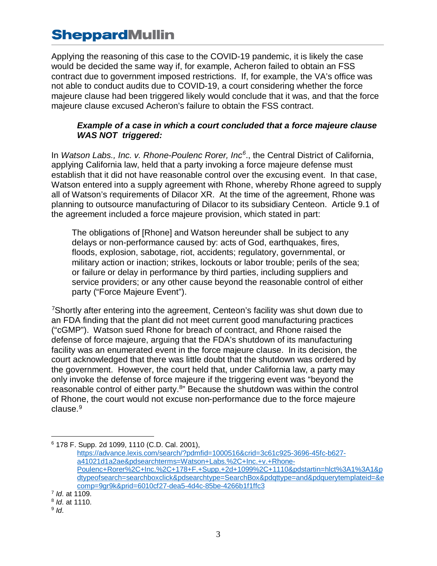Applying the reasoning of this case to the COVID-19 pandemic, it is likely the case would be decided the same way if, for example, Acheron failed to obtain an FSS contract due to government imposed restrictions. If, for example, the VA's office was not able to conduct audits due to COVID-19, a court considering whether the force majeure clause had been triggered likely would conclude that it was, and that the force majeure clause excused Acheron's failure to obtain the FSS contract.

#### *Example of a case in which a court concluded that a force majeure clause WAS NOT triggered:*

In *[Watson Labs., Inc. v. Rhone-Poulenc Rorer, Inc](https://advance.lexis.com/search/?pdmfid=1000516&crid=3c61c925-3696-45fc-b627-a41021d1a2ae&pdsearchterms=Watson+Labs.%2C+Inc.+v.+Rhone-Poulenc+Rorer%2C+Inc.%2C+178+F.+Supp.+2d+1099%2C+1110&pdstartin=hlct%3A1%3A1&pdtypeofsearch=searchboxclick&pdsearchtype=SearchBox&pdqttype=and&pdquerytemplateid=&ecomp=9gr9k&prid=6010cf27-dea5-4d4c-85be-4266b1f1ffc3)[6](#page-2-0)* ., the Central District of California, applying California law, held that a party invoking a force majeure defense must establish that it did not have reasonable control over the excusing event. In that case, Watson entered into a supply agreement with Rhone, whereby Rhone agreed to supply all of Watson's requirements of Dilacor XR. At the time of the agreement, Rhone was planning to outsource manufacturing of Dilacor to its subsidiary Centeon. Article 9.1 of the agreement included a force majeure provision, which stated in part:

The obligations of [Rhone] and Watson hereunder shall be subject to any delays or non-performance caused by: acts of God, earthquakes, fires, floods, explosion, sabotage, riot, accidents; regulatory, governmental, or military action or inaction; strikes, lockouts or labor trouble; perils of the sea; or failure or delay in performance by third parties, including suppliers and service providers; or any other cause beyond the reasonable control of either party ("Force Majeure Event").

<sup>7</sup>Shortly after entering into the agreement, Centeon's facility was shut down due to an FDA finding that the plant did not meet current good manufacturing practices ("cGMP"). Watson sued Rhone for breach of contract, and Rhone raised the defense of force majeure, arguing that the FDA's shutdown of its manufacturing facility was an enumerated event in the force majeure clause. In its decision, the court acknowledged that there was little doubt that the shutdown was ordered by the government. However, the court held that, under California law, a party may only invoke the defense of force majeure if the triggering event was "beyond the reasonable control of either party[.8"](#page-2-2) Because the shutdown was within the control of Rhone, the court would not excuse non-performance due to the force majeure clause.<sup>[9](#page-2-3)</sup>

 $\overline{a}$ 

<span id="page-2-0"></span><sup>6</sup> 178 F. Supp. 2d 1099, 1110 (C.D. Cal. 2001), [https://advance.lexis.com/search/?pdmfid=1000516&crid=3c61c925-3696-45fc-b627](https://advance.lexis.com/search/?pdmfid=1000516&crid=3c61c925-3696-45fc-b627-a41021d1a2ae&pdsearchterms=Watson+Labs.%2C+Inc.+v.+Rhone-Poulenc+Rorer%2C+Inc.%2C+178+F.+Supp.+2d+1099%2C+1110&pdstartin=hlct%3A1%3A1&pdtypeofsearch=searchboxclick&pdsearchtype=SearchBox&pdqttype=and&pdquerytemplateid=&ecomp=9gr9k&prid=6010cf27-dea5-4d4c-85be-4266b1f1ffc3) [a41021d1a2ae&pdsearchterms=Watson+Labs.%2C+Inc.+v.+Rhone-](https://advance.lexis.com/search/?pdmfid=1000516&crid=3c61c925-3696-45fc-b627-a41021d1a2ae&pdsearchterms=Watson+Labs.%2C+Inc.+v.+Rhone-Poulenc+Rorer%2C+Inc.%2C+178+F.+Supp.+2d+1099%2C+1110&pdstartin=hlct%3A1%3A1&pdtypeofsearch=searchboxclick&pdsearchtype=SearchBox&pdqttype=and&pdquerytemplateid=&ecomp=9gr9k&prid=6010cf27-dea5-4d4c-85be-4266b1f1ffc3)[Poulenc+Rorer%2C+Inc.%2C+178+F.+Supp.+2d+1099%2C+1110&pdstartin=hlct%3A1%3A1&p](https://advance.lexis.com/search/?pdmfid=1000516&crid=3c61c925-3696-45fc-b627-a41021d1a2ae&pdsearchterms=Watson+Labs.%2C+Inc.+v.+Rhone-Poulenc+Rorer%2C+Inc.%2C+178+F.+Supp.+2d+1099%2C+1110&pdstartin=hlct%3A1%3A1&pdtypeofsearch=searchboxclick&pdsearchtype=SearchBox&pdqttype=and&pdquerytemplateid=&ecomp=9gr9k&prid=6010cf27-dea5-4d4c-85be-4266b1f1ffc3) [dtypeofsearch=searchboxclick&pdsearchtype=SearchBox&pdqttype=and&pdquerytemplateid=&e](https://advance.lexis.com/search/?pdmfid=1000516&crid=3c61c925-3696-45fc-b627-a41021d1a2ae&pdsearchterms=Watson+Labs.%2C+Inc.+v.+Rhone-Poulenc+Rorer%2C+Inc.%2C+178+F.+Supp.+2d+1099%2C+1110&pdstartin=hlct%3A1%3A1&pdtypeofsearch=searchboxclick&pdsearchtype=SearchBox&pdqttype=and&pdquerytemplateid=&ecomp=9gr9k&prid=6010cf27-dea5-4d4c-85be-4266b1f1ffc3) [comp=9gr9k&prid=6010cf27-dea5-4d4c-85be-4266b1f1ffc3](https://advance.lexis.com/search/?pdmfid=1000516&crid=3c61c925-3696-45fc-b627-a41021d1a2ae&pdsearchterms=Watson+Labs.%2C+Inc.+v.+Rhone-Poulenc+Rorer%2C+Inc.%2C+178+F.+Supp.+2d+1099%2C+1110&pdstartin=hlct%3A1%3A1&pdtypeofsearch=searchboxclick&pdsearchtype=SearchBox&pdqttype=and&pdquerytemplateid=&ecomp=9gr9k&prid=6010cf27-dea5-4d4c-85be-4266b1f1ffc3)

<span id="page-2-1"></span><sup>7</sup> *Id*. at 1109.

<span id="page-2-2"></span><sup>8</sup> *Id*. at 1110.

<span id="page-2-3"></span><sup>9</sup> *Id*.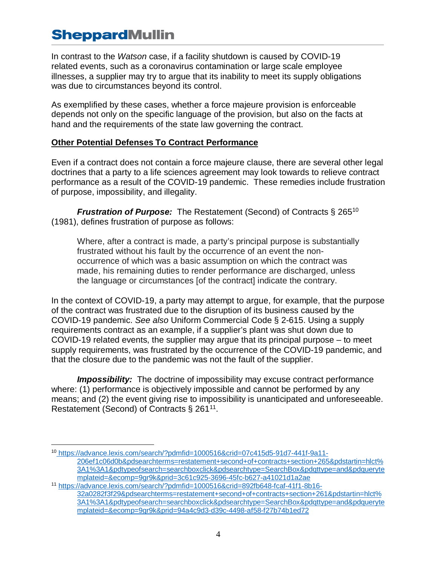In contrast to the *Watson* case, if a facility shutdown is caused by COVID-19 related events, such as a coronavirus contamination or large scale employee illnesses, a supplier may try to argue that its inability to meet its supply obligations was due to circumstances beyond its control.

As exemplified by these cases, whether a force majeure provision is enforceable depends not only on the specific language of the provision, but also on the facts at hand and the requirements of the state law governing the contract.

#### **Other Potential Defenses To Contract Performance**

Even if a contract does not contain a force majeure clause, there are several other legal doctrines that a party to a life sciences agreement may look towards to relieve contract performance as a result of the COVID-19 pandemic. These remedies include frustration of purpose, impossibility, and illegality.

*Frustration of Purpose:* The [Restatement \(Second\) of Contracts](https://en.wikipedia.org/wiki/Restatement_(Second)_of_Contracts) § 265<sup>[10](#page-3-0)</sup> (1981), defines frustration of purpose as follows:

Where, after a contract is made, a party's principal purpose is substantially frustrated without his fault by the occurrence of an event the nonoccurrence of which was a basic assumption on which the contract was made, his remaining duties to render performance are discharged, unless the language or circumstances [of the contract] indicate the contrary.

In the context of COVID-19, a party may attempt to argue, for example, that the purpose of the contract was frustrated due to the disruption of its business caused by the COVID-19 pandemic. *See also* Uniform Commercial Code § 2-615. Using a supply requirements contract as an example, if a supplier's plant was shut down due to COVID-19 related events, the supplier may argue that its principal purpose – to meet supply requirements, was frustrated by the occurrence of the COVID-19 pandemic, and that the closure due to the pandemic was not the fault of the supplier.

*Impossibility:* The doctrine of impossibility may excuse contract performance where: (1) performance is objectively impossible and cannot be performed by any means; and (2) the event giving rise to impossibility is unanticipated and unforeseeable. Restatement (Second) of Contracts § 261<sup>11</sup>.

<span id="page-3-0"></span> $\overline{a}$ <sup>10</sup> [https://advance.lexis.com/search/?pdmfid=1000516&crid=07c415d5-91d7-441f-9a11-](https://advance.lexis.com/search/?pdmfid=1000516&crid=07c415d5-91d7-441f-9a11-206ef1c06d0b&pdsearchterms=restatement+second+of+contracts+section+265&pdstartin=hlct%3A1%3A1&pdtypeofsearch=searchboxclick&pdsearchtype=SearchBox&pdqttype=and&pdquerytemplateid=&ecomp=9gr9k&prid=3c61c925-3696-45fc-b627-a41021d1a2ae) [206ef1c06d0b&pdsearchterms=restatement+second+of+contracts+section+265&pdstartin=hlct%](https://advance.lexis.com/search/?pdmfid=1000516&crid=07c415d5-91d7-441f-9a11-206ef1c06d0b&pdsearchterms=restatement+second+of+contracts+section+265&pdstartin=hlct%3A1%3A1&pdtypeofsearch=searchboxclick&pdsearchtype=SearchBox&pdqttype=and&pdquerytemplateid=&ecomp=9gr9k&prid=3c61c925-3696-45fc-b627-a41021d1a2ae) [3A1%3A1&pdtypeofsearch=searchboxclick&pdsearchtype=SearchBox&pdqttype=and&pdqueryte](https://advance.lexis.com/search/?pdmfid=1000516&crid=07c415d5-91d7-441f-9a11-206ef1c06d0b&pdsearchterms=restatement+second+of+contracts+section+265&pdstartin=hlct%3A1%3A1&pdtypeofsearch=searchboxclick&pdsearchtype=SearchBox&pdqttype=and&pdquerytemplateid=&ecomp=9gr9k&prid=3c61c925-3696-45fc-b627-a41021d1a2ae) [mplateid=&ecomp=9gr9k&prid=3c61c925-3696-45fc-b627-a41021d1a2ae](https://advance.lexis.com/search/?pdmfid=1000516&crid=07c415d5-91d7-441f-9a11-206ef1c06d0b&pdsearchterms=restatement+second+of+contracts+section+265&pdstartin=hlct%3A1%3A1&pdtypeofsearch=searchboxclick&pdsearchtype=SearchBox&pdqttype=and&pdquerytemplateid=&ecomp=9gr9k&prid=3c61c925-3696-45fc-b627-a41021d1a2ae)

<span id="page-3-1"></span><sup>11</sup> [https://advance.lexis.com/search/?pdmfid=1000516&crid=892fb648-fcaf-41f1-8b16-](https://advance.lexis.com/search/?pdmfid=1000516&crid=892fb648-fcaf-41f1-8b16-32a0282f3f29&pdsearchterms=restatement+second+of+contracts+section+261&pdstartin=hlct%3A1%3A1&pdtypeofsearch=searchboxclick&pdsearchtype=SearchBox&pdqttype=and&pdquerytemplateid=&ecomp=9gr9k&prid=94a4c9d3-d39c-4498-af58-f27b74b1ed72) [32a0282f3f29&pdsearchterms=restatement+second+of+contracts+section+261&pdstartin=hlct%](https://advance.lexis.com/search/?pdmfid=1000516&crid=892fb648-fcaf-41f1-8b16-32a0282f3f29&pdsearchterms=restatement+second+of+contracts+section+261&pdstartin=hlct%3A1%3A1&pdtypeofsearch=searchboxclick&pdsearchtype=SearchBox&pdqttype=and&pdquerytemplateid=&ecomp=9gr9k&prid=94a4c9d3-d39c-4498-af58-f27b74b1ed72) [3A1%3A1&pdtypeofsearch=searchboxclick&pdsearchtype=SearchBox&pdqttype=and&pdqueryte](https://advance.lexis.com/search/?pdmfid=1000516&crid=892fb648-fcaf-41f1-8b16-32a0282f3f29&pdsearchterms=restatement+second+of+contracts+section+261&pdstartin=hlct%3A1%3A1&pdtypeofsearch=searchboxclick&pdsearchtype=SearchBox&pdqttype=and&pdquerytemplateid=&ecomp=9gr9k&prid=94a4c9d3-d39c-4498-af58-f27b74b1ed72) [mplateid=&ecomp=9gr9k&prid=94a4c9d3-d39c-4498-af58-f27b74b1ed72](https://advance.lexis.com/search/?pdmfid=1000516&crid=892fb648-fcaf-41f1-8b16-32a0282f3f29&pdsearchterms=restatement+second+of+contracts+section+261&pdstartin=hlct%3A1%3A1&pdtypeofsearch=searchboxclick&pdsearchtype=SearchBox&pdqttype=and&pdquerytemplateid=&ecomp=9gr9k&prid=94a4c9d3-d39c-4498-af58-f27b74b1ed72)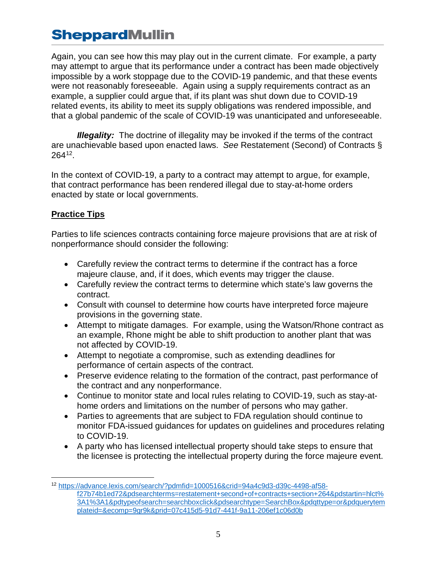Again, you can see how this may play out in the current climate. For example, a party may attempt to argue that its performance under a contract has been made objectively impossible by a work stoppage due to the COVID-19 pandemic, and that these events were not reasonably foreseeable. Again using a supply requirements contract as an example, a supplier could argue that, if its plant was shut down due to COVID-19 related events, its ability to meet its supply obligations was rendered impossible, and that a global pandemic of the scale of COVID-19 was unanticipated and unforeseeable.

*Illegality:* The doctrine of illegality may be invoked if the terms of the contract are unachievable based upon enacted laws. *See* Restatement (Second) of Contracts § 264[12](#page-4-0).

In the context of COVID-19, a party to a contract may attempt to argue, for example, that contract performance has been rendered illegal due to stay-at-home orders enacted by state or local governments.

#### **Practice Tips**

Parties to life sciences contracts containing force majeure provisions that are at risk of nonperformance should consider the following:

- Carefully review the contract terms to determine if the contract has a force majeure clause, and, if it does, which events may trigger the clause.
- Carefully review the contract terms to determine which state's law governs the contract.
- Consult with counsel to determine how courts have interpreted force majeure provisions in the governing state.
- Attempt to mitigate damages. For example, using the Watson/Rhone contract as an example, Rhone might be able to shift production to another plant that was not affected by COVID-19.
- Attempt to negotiate a compromise, such as extending deadlines for performance of certain aspects of the contract.
- Preserve evidence relating to the formation of the contract, past performance of the contract and any nonperformance.
- Continue to monitor state and local rules relating to COVID-19, such as stay-athome orders and limitations on the number of persons who may gather.
- Parties to agreements that are subject to FDA regulation should continue to monitor FDA-issued guidances for updates on guidelines and procedures relating to COVID-19.
- A party who has licensed intellectual property should take steps to ensure that the licensee is protecting the intellectual property during the force majeure event.

<span id="page-4-0"></span> $\overline{a}$ <sup>12</sup> [https://advance.lexis.com/search/?pdmfid=1000516&crid=94a4c9d3-d39c-4498-af58](https://advance.lexis.com/search/?pdmfid=1000516&crid=94a4c9d3-d39c-4498-af58-f27b74b1ed72&pdsearchterms=restatement+second+of+contracts+section+264&pdstartin=hlct%3A1%3A1&pdtypeofsearch=searchboxclick&pdsearchtype=SearchBox&pdqttype=or&pdquerytemplateid=&ecomp=9gr9k&prid=07c415d5-91d7-441f-9a11-206ef1c06d0b) [f27b74b1ed72&pdsearchterms=restatement+second+of+contracts+section+264&pdstartin=hlct%](https://advance.lexis.com/search/?pdmfid=1000516&crid=94a4c9d3-d39c-4498-af58-f27b74b1ed72&pdsearchterms=restatement+second+of+contracts+section+264&pdstartin=hlct%3A1%3A1&pdtypeofsearch=searchboxclick&pdsearchtype=SearchBox&pdqttype=or&pdquerytemplateid=&ecomp=9gr9k&prid=07c415d5-91d7-441f-9a11-206ef1c06d0b) [3A1%3A1&pdtypeofsearch=searchboxclick&pdsearchtype=SearchBox&pdqttype=or&pdquerytem](https://advance.lexis.com/search/?pdmfid=1000516&crid=94a4c9d3-d39c-4498-af58-f27b74b1ed72&pdsearchterms=restatement+second+of+contracts+section+264&pdstartin=hlct%3A1%3A1&pdtypeofsearch=searchboxclick&pdsearchtype=SearchBox&pdqttype=or&pdquerytemplateid=&ecomp=9gr9k&prid=07c415d5-91d7-441f-9a11-206ef1c06d0b) [plateid=&ecomp=9gr9k&prid=07c415d5-91d7-441f-9a11-206ef1c06d0b](https://advance.lexis.com/search/?pdmfid=1000516&crid=94a4c9d3-d39c-4498-af58-f27b74b1ed72&pdsearchterms=restatement+second+of+contracts+section+264&pdstartin=hlct%3A1%3A1&pdtypeofsearch=searchboxclick&pdsearchtype=SearchBox&pdqttype=or&pdquerytemplateid=&ecomp=9gr9k&prid=07c415d5-91d7-441f-9a11-206ef1c06d0b)